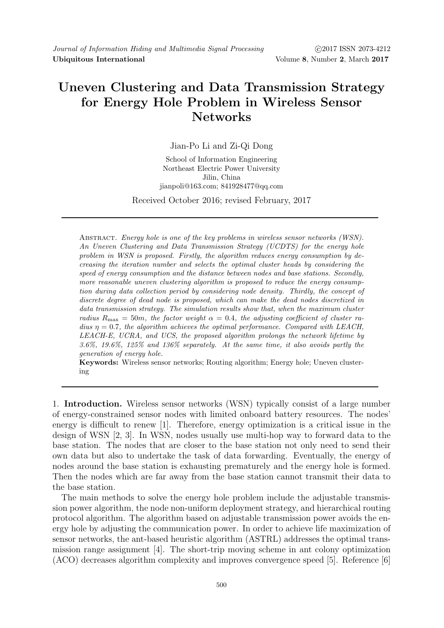## Uneven Clustering and Data Transmission Strategy for Energy Hole Problem in Wireless Sensor Networks

Jian-Po Li and Zi-Qi Dong

School of Information Engineering Northeast Electric Power University Jilin, China jianpoli@163.com; 841928477@qq.com

Received October 2016; revised February, 2017

Abstract. Energy hole is one of the key problems in wireless sensor networks (WSN). An Uneven Clustering and Data Transmission Strategy (UCDTS) for the energy hole problem in WSN is proposed. Firstly, the algorithm reduces energy consumption by decreasing the iteration number and selects the optimal cluster heads by considering the speed of energy consumption and the distance between nodes and base stations. Secondly, more reasonable uneven clustering algorithm is proposed to reduce the energy consumption during data collection period by considering node density. Thirdly, the concept of discrete degree of dead node is proposed, which can make the dead nodes discretized in data transmission strategy. The simulation results show that, when the maximum cluster radius  $R_{\text{max}} = 50m$ , the factor weight  $\alpha = 0.4$ , the adjusting coefficient of cluster radius  $\eta = 0.7$ , the algorithm achieves the optimal performance. Compared with LEACH, LEACH-E, UCRA, and UCS, the proposed algorithm prolongs the network lifetime by 3.6%, 19.6%, 125% and 136% separately. At the same time, it also avoids partly the generation of energy hole.

Keywords: Wireless sensor networks; Routing algorithm; Energy hole; Uneven clustering

1. Introduction. Wireless sensor networks (WSN) typically consist of a large number of energy-constrained sensor nodes with limited onboard battery resources. The nodes' energy is difficult to renew [1]. Therefore, energy optimization is a critical issue in the design of WSN [2, 3]. In WSN, nodes usually use multi-hop way to forward data to the base station. The nodes that are closer to the base station not only need to send their own data but also to undertake the task of data forwarding. Eventually, the energy of nodes around the base station is exhausting prematurely and the energy hole is formed. Then the nodes which are far away from the base station cannot transmit their data to the base station.

The main methods to solve the energy hole problem include the adjustable transmission power algorithm, the node non-uniform deployment strategy, and hierarchical routing protocol algorithm. The algorithm based on adjustable transmission power avoids the energy hole by adjusting the communication power. In order to achieve life maximization of sensor networks, the ant-based heuristic algorithm (ASTRL) addresses the optimal transmission range assignment [4]. The short-trip moving scheme in ant colony optimization (ACO) decreases algorithm complexity and improves convergence speed [5]. Reference [6]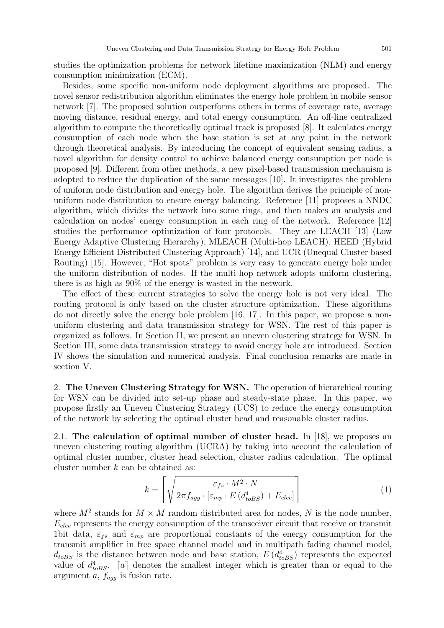studies the optimization problems for network lifetime maximization (NLM) and energy consumption minimization (ECM).

Besides, some specific non-uniform node deployment algorithms are proposed. The novel sensor redistribution algorithm eliminates the energy hole problem in mobile sensor network [7]. The proposed solution outperforms others in terms of coverage rate, average moving distance, residual energy, and total energy consumption. An off-line centralized algorithm to compute the theoretically optimal track is proposed [8]. It calculates energy consumption of each node when the base station is set at any point in the network through theoretical analysis. By introducing the concept of equivalent sensing radius, a novel algorithm for density control to achieve balanced energy consumption per node is proposed [9]. Different from other methods, a new pixel-based transmission mechanism is adopted to reduce the duplication of the same messages [10]. It investigates the problem of uniform node distribution and energy hole. The algorithm derives the principle of nonuniform node distribution to ensure energy balancing. Reference [11] proposes a NNDC algorithm, which divides the network into some rings, and then makes an analysis and calculation on nodes' energy consumption in each ring of the network. Reference [12] studies the performance optimization of four protocols. They are LEACH [13] (Low Energy Adaptive Clustering Hierarchy), MLEACH (Multi-hop LEACH), HEED (Hybrid Energy Efficient Distributed Clustering Approach) [14], and UCR (Unequal Cluster based Routing) [15]. However, "Hot spots" problem is very easy to generate energy hole under the uniform distribution of nodes. If the multi-hop network adopts uniform clustering, there is as high as 90% of the energy is wasted in the network.

The effect of these current strategies to solve the energy hole is not very ideal. The routing protocol is only based on the cluster structure optimization. These algorithms do not directly solve the energy hole problem [16, 17]. In this paper, we propose a nonuniform clustering and data transmission strategy for WSN. The rest of this paper is organized as follows. In Section II, we present an uneven clustering strategy for WSN. In Section III, some data transmission strategy to avoid energy hole are introduced. Section IV shows the simulation and numerical analysis. Final conclusion remarks are made in section V.

2. The Uneven Clustering Strategy for WSN. The operation of hierarchical routing for WSN can be divided into set-up phase and steady-state phase. In this paper, we propose firstly an Uneven Clustering Strategy (UCS) to reduce the energy consumption of the network by selecting the optimal cluster head and reasonable cluster radius.

2.1. The calculation of optimal number of cluster head. In [18], we proposes an uneven clustering routing algorithm (UCRA) by taking into account the calculation of optimal cluster number, cluster head selection, cluster radius calculation. The optimal cluster number  $k$  can be obtained as:

$$
k = \left\lceil \sqrt{\frac{\varepsilon_{fs} \cdot M^2 \cdot N}{2\pi f_{agg} \cdot \left[\varepsilon_{mp} \cdot E\left(d_{toBS}^4\right) + E_{elec}\right]}} \right\rceil \tag{1}
$$

where  $M^2$  stands for  $M \times M$  random distributed area for nodes, N is the node number,  $E_{elec}$  represents the energy consumption of the transceiver circuit that receive or transmit 1bit data,  $\varepsilon_{fs}$  and  $\varepsilon_{mp}$  are proportional constants of the energy consumption for the transmit amplifier in free space channel model and in multipath fading channel model,  $d_{toBS}$  is the distance between node and base station,  $E(d_{toBS}^4)$  represents the expected value of  $d_{toBS}^4$ . [a] denotes the smallest integer which is greater than or equal to the argument a,  $f_{aqq}$  is fusion rate.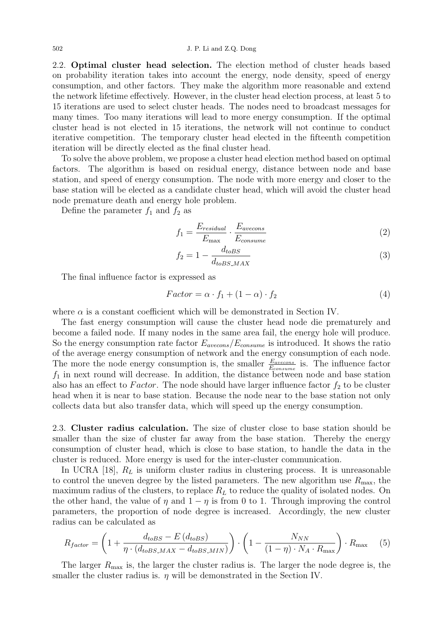2.2. Optimal cluster head selection. The election method of cluster heads based on probability iteration takes into account the energy, node density, speed of energy consumption, and other factors. They make the algorithm more reasonable and extend the network lifetime effectively. However, in the cluster head election process, at least 5 to 15 iterations are used to select cluster heads. The nodes need to broadcast messages for many times. Too many iterations will lead to more energy consumption. If the optimal cluster head is not elected in 15 iterations, the network will not continue to conduct iterative competition. The temporary cluster head elected in the fifteenth competition iteration will be directly elected as the final cluster head.

To solve the above problem, we propose a cluster head election method based on optimal factors. The algorithm is based on residual energy, distance between node and base station, and speed of energy consumption. The node with more energy and closer to the base station will be elected as a candidate cluster head, which will avoid the cluster head node premature death and energy hole problem.

Define the parameter  $f_1$  and  $f_2$  as

$$
f_1 = \frac{E_{residual}}{E_{\text{max}}} \cdot \frac{E_{avecons}}{E_{consum}} \tag{2}
$$

$$
f_2 = 1 - \frac{d_{toBS}}{d_{toBS\_MAX}}\tag{3}
$$

The final influence factor is expressed as

$$
Factor = \alpha \cdot f_1 + (1 - \alpha) \cdot f_2 \tag{4}
$$

where  $\alpha$  is a constant coefficient which will be demonstrated in Section IV.

The fast energy consumption will cause the cluster head node die prematurely and become a failed node. If many nodes in the same area fail, the energy hole will produce. So the energy consumption rate factor  $E_{avecons}/E_{consume}$  is introduced. It shows the ratio of the average energy consumption of network and the energy consumption of each node. The more the node energy consumption is, the smaller  $\frac{E_{avecons}}{E_{consum}}$  is. The influence factor  $f_1$  in next round will decrease. In addition, the distance between node and base station also has an effect to Factor. The node should have larger influence factor  $f_2$  to be cluster head when it is near to base station. Because the node near to the base station not only collects data but also transfer data, which will speed up the energy consumption.

2.3. Cluster radius calculation. The size of cluster close to base station should be smaller than the size of cluster far away from the base station. Thereby the energy consumption of cluster head, which is close to base station, to handle the data in the cluster is reduced. More energy is used for the inter-cluster communication.

In UCRA [18],  $R_L$  is uniform cluster radius in clustering process. It is unreasonable to control the uneven degree by the listed parameters. The new algorithm use  $R_{\text{max}}$ , the maximum radius of the clusters, to replace  $R<sub>L</sub>$  to reduce the quality of isolated nodes. On the other hand, the value of  $\eta$  and  $1 - \eta$  is from 0 to 1. Through improving the control parameters, the proportion of node degree is increased. Accordingly, the new cluster radius can be calculated as

$$
R_{factor} = \left(1 + \frac{d_{toBS} - E(d_{toBS})}{\eta \cdot (d_{toBS\_MAX} - d_{toBS\_MIN})}\right) \cdot \left(1 - \frac{N_{NN}}{(1 - \eta) \cdot N_A \cdot R_{\text{max}}}\right) \cdot R_{\text{max}} \tag{5}
$$

The larger  $R_{\text{max}}$  is, the larger the cluster radius is. The larger the node degree is, the smaller the cluster radius is.  $\eta$  will be demonstrated in the Section IV.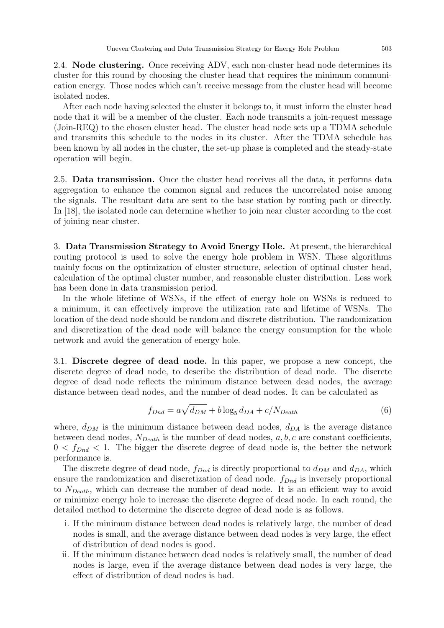2.4. Node clustering. Once receiving ADV, each non-cluster head node determines its cluster for this round by choosing the cluster head that requires the minimum communication energy. Those nodes which can't receive message from the cluster head will become isolated nodes.

After each node having selected the cluster it belongs to, it must inform the cluster head node that it will be a member of the cluster. Each node transmits a join-request message (Join-REQ) to the chosen cluster head. The cluster head node sets up a TDMA schedule and transmits this schedule to the nodes in its cluster. After the TDMA schedule has been known by all nodes in the cluster, the set-up phase is completed and the steady-state operation will begin.

2.5. Data transmission. Once the cluster head receives all the data, it performs data aggregation to enhance the common signal and reduces the uncorrelated noise among the signals. The resultant data are sent to the base station by routing path or directly. In [18], the isolated node can determine whether to join near cluster according to the cost of joining near cluster.

3. Data Transmission Strategy to Avoid Energy Hole. At present, the hierarchical routing protocol is used to solve the energy hole problem in WSN. These algorithms mainly focus on the optimization of cluster structure, selection of optimal cluster head, calculation of the optimal cluster number, and reasonable cluster distribution. Less work has been done in data transmission period.

In the whole lifetime of WSNs, if the effect of energy hole on WSNs is reduced to a minimum, it can effectively improve the utilization rate and lifetime of WSNs. The location of the dead node should be random and discrete distribution. The randomization and discretization of the dead node will balance the energy consumption for the whole network and avoid the generation of energy hole.

3.1. Discrete degree of dead node. In this paper, we propose a new concept, the discrete degree of dead node, to describe the distribution of dead node. The discrete degree of dead node reflects the minimum distance between dead nodes, the average distance between dead nodes, and the number of dead nodes. It can be calculated as

$$
f_{Dnd} = a\sqrt{d_{DM}} + b\log_5 d_{DA} + c/N_{Death}
$$
\n<sup>(6)</sup>

where,  $d_{DM}$  is the minimum distance between dead nodes,  $d_{DA}$  is the average distance between dead nodes,  $N_{Death}$  is the number of dead nodes,  $a, b, c$  are constant coefficients,  $0 < f_{Dnd} < 1$ . The bigger the discrete degree of dead node is, the better the network performance is.

The discrete degree of dead node,  $f_{Dnd}$  is directly proportional to  $d_{DM}$  and  $d_{DA}$ , which ensure the randomization and discretization of dead node.  $f_{Dnd}$  is inversely proportional to  $N_{Death}$ , which can decrease the number of dead node. It is an efficient way to avoid or minimize energy hole to increase the discrete degree of dead node. In each round, the detailed method to determine the discrete degree of dead node is as follows.

- i. If the minimum distance between dead nodes is relatively large, the number of dead nodes is small, and the average distance between dead nodes is very large, the effect of distribution of dead nodes is good.
- ii. If the minimum distance between dead nodes is relatively small, the number of dead nodes is large, even if the average distance between dead nodes is very large, the effect of distribution of dead nodes is bad.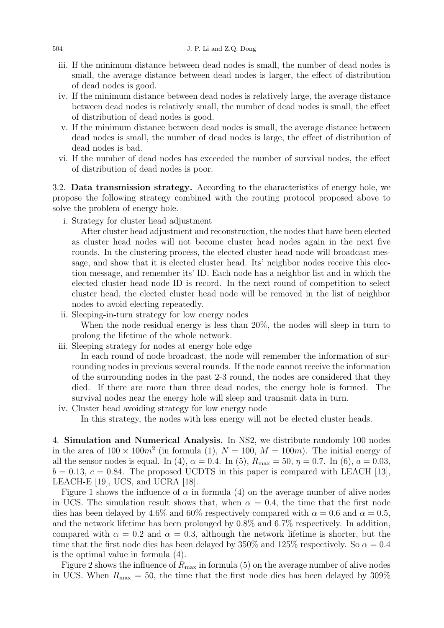- iii. If the minimum distance between dead nodes is small, the number of dead nodes is small, the average distance between dead nodes is larger, the effect of distribution of dead nodes is good.
- iv. If the minimum distance between dead nodes is relatively large, the average distance between dead nodes is relatively small, the number of dead nodes is small, the effect of distribution of dead nodes is good.
- v. If the minimum distance between dead nodes is small, the average distance between dead nodes is small, the number of dead nodes is large, the effect of distribution of dead nodes is bad.
- vi. If the number of dead nodes has exceeded the number of survival nodes, the effect of distribution of dead nodes is poor.

3.2. Data transmission strategy. According to the characteristics of energy hole, we propose the following strategy combined with the routing protocol proposed above to solve the problem of energy hole.

i. Strategy for cluster head adjustment

After cluster head adjustment and reconstruction, the nodes that have been elected as cluster head nodes will not become cluster head nodes again in the next five rounds. In the clustering process, the elected cluster head node will broadcast message, and show that it is elected cluster head. Its' neighbor nodes receive this election message, and remember its' ID. Each node has a neighbor list and in which the elected cluster head node ID is record. In the next round of competition to select cluster head, the elected cluster head node will be removed in the list of neighbor nodes to avoid electing repeatedly.

- ii. Sleeping-in-turn strategy for low energy nodes When the node residual energy is less than 20%, the nodes will sleep in turn to prolong the lifetime of the whole network.
- iii. Sleeping strategy for nodes at energy hole edge

In each round of node broadcast, the node will remember the information of surrounding nodes in previous several rounds. If the node cannot receive the information of the surrounding nodes in the past 2-3 round, the nodes are considered that they died. If there are more than three dead nodes, the energy hole is formed. The survival nodes near the energy hole will sleep and transmit data in turn.

iv. Cluster head avoiding strategy for low energy node In this strategy, the nodes with less energy will not be elected cluster heads.

4. Simulation and Numerical Analysis. In NS2, we distribute randomly 100 nodes in the area of  $100 \times 100m^2$  (in formula (1),  $N = 100$ ,  $M = 100m$ ). The initial energy of all the sensor nodes is equal. In (4),  $\alpha = 0.4$ . In (5),  $R_{\text{max}} = 50$ ,  $\eta = 0.7$ . In (6),  $a = 0.03$ ,  $b = 0.13, c = 0.84$ . The proposed UCDTS in this paper is compared with LEACH [13], LEACH-E [19], UCS, and UCRA [18].

Figure 1 shows the influence of  $\alpha$  in formula (4) on the average number of alive nodes in UCS. The simulation result shows that, when  $\alpha = 0.4$ , the time that the first node dies has been delayed by 4.6% and 60% respectively compared with  $\alpha = 0.6$  and  $\alpha = 0.5$ , and the network lifetime has been prolonged by 0.8% and 6.7% respectively. In addition, compared with  $\alpha = 0.2$  and  $\alpha = 0.3$ , although the network lifetime is shorter, but the time that the first node dies has been delayed by 350% and 125% respectively. So  $\alpha = 0.4$ is the optimal value in formula (4).

Figure 2 shows the influence of  $R_{\text{max}}$  in formula (5) on the average number of alive nodes in UCS. When  $R_{\text{max}} = 50$ , the time that the first node dies has been delayed by 309%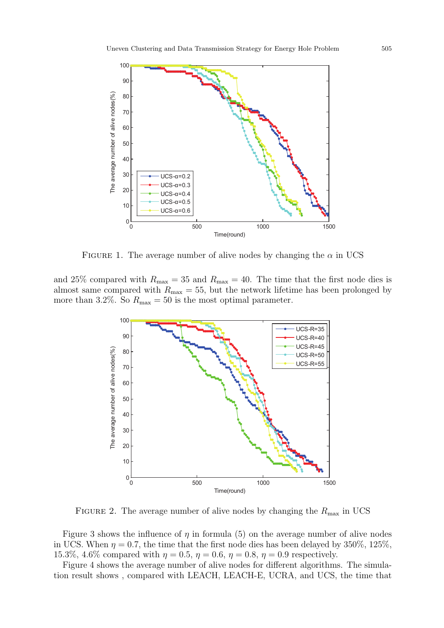

FIGURE 1. The average number of alive nodes by changing the  $\alpha$  in UCS

and 25% compared with  $R_{\text{max}} = 35$  and  $R_{\text{max}} = 40$ . The time that the first node dies is almost same compared with  $R_{\text{max}} = 55$ , but the network lifetime has been prolonged by more than 3.2%. So  $R_{\text{max}} = 50$  is the most optimal parameter.



FIGURE 2. The average number of alive nodes by changing the  $R_{\text{max}}$  in UCS

Figure 3 shows the influence of  $\eta$  in formula (5) on the average number of alive nodes in UCS. When  $\eta = 0.7$ , the time that the first node dies has been delayed by 350%, 125%, 15.3%, 4.6% compared with  $\eta = 0.5$ ,  $\eta = 0.6$ ,  $\eta = 0.8$ ,  $\eta = 0.9$  respectively.

Figure 4 shows the average number of alive nodes for different algorithms. The simulation result shows , compared with LEACH, LEACH-E, UCRA, and UCS, the time that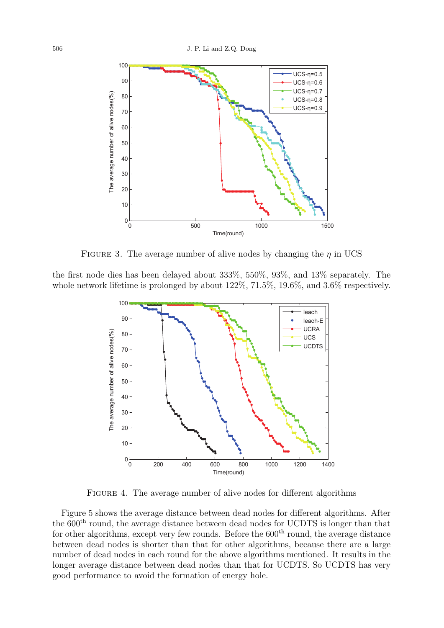

FIGURE 3. The average number of alive nodes by changing the  $\eta$  in UCS

the first node dies has been delayed about 333%, 550%, 93%, and 13% separately. The whole network lifetime is prolonged by about 122%, 71.5%, 19.6%, and 3.6% respectively.



FIGURE 4. The average number of alive nodes for different algorithms

Figure 5 shows the average distance between dead nodes for different algorithms. After the 600<sup>th</sup> round, the average distance between dead nodes for UCDTS is longer than that for other algorithms, except very few rounds. Before the  $600<sup>th</sup>$  round, the average distance between dead nodes is shorter than that for other algorithms, because there are a large number of dead nodes in each round for the above algorithms mentioned. It results in the longer average distance between dead nodes than that for UCDTS. So UCDTS has very good performance to avoid the formation of energy hole.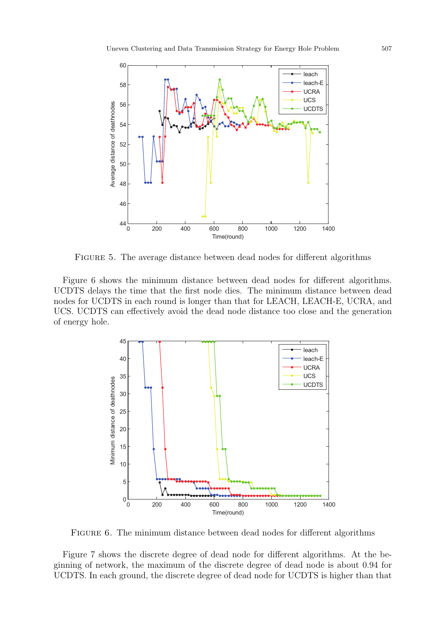

Figure 5. The average distance between dead nodes for different algorithms

Figure 6 shows the minimum distance between dead nodes for different algorithms. UCDTS delays the time that the first node dies. The minimum distance between dead nodes for UCDTS in each round is longer than that for LEACH, LEACH-E, UCRA, and UCS. UCDTS can effectively avoid the dead node distance too close and the generation of energy hole.



FIGURE 6. The minimum distance between dead nodes for different algorithms

Figure 7 shows the discrete degree of dead node for different algorithms. At the beginning of network, the maximum of the discrete degree of dead node is about 0.94 for UCDTS. In each ground, the discrete degree of dead node for UCDTS is higher than that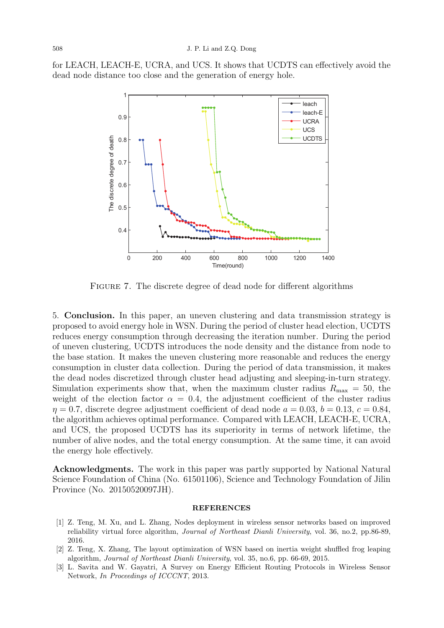for LEACH, LEACH-E, UCRA, and UCS. It shows that UCDTS can effectively avoid the dead node distance too close and the generation of energy hole.



FIGURE 7. The discrete degree of dead node for different algorithms

5. Conclusion. In this paper, an uneven clustering and data transmission strategy is proposed to avoid energy hole in WSN. During the period of cluster head election, UCDTS reduces energy consumption through decreasing the iteration number. During the period of uneven clustering, UCDTS introduces the node density and the distance from node to the base station. It makes the uneven clustering more reasonable and reduces the energy consumption in cluster data collection. During the period of data transmission, it makes the dead nodes discretized through cluster head adjusting and sleeping-in-turn strategy. Simulation experiments show that, when the maximum cluster radius  $R_{\text{max}} = 50$ , the weight of the election factor  $\alpha = 0.4$ , the adjustment coefficient of the cluster radius  $\eta = 0.7$ , discrete degree adjustment coefficient of dead node  $a = 0.03$ ,  $b = 0.13$ ,  $c = 0.84$ , the algorithm achieves optimal performance. Compared with LEACH, LEACH-E, UCRA, and UCS, the proposed UCDTS has its superiority in terms of network lifetime, the number of alive nodes, and the total energy consumption. At the same time, it can avoid the energy hole effectively.

Acknowledgments. The work in this paper was partly supported by National Natural Science Foundation of China (No. 61501106), Science and Technology Foundation of Jilin Province (No. 20150520097JH).

## REFERENCES

- [1] Z. Teng, M. Xu, and L. Zhang, Nodes deployment in wireless sensor networks based on improved reliability virtual force algorithm, Journal of Northeast Dianli University, vol. 36, no.2, pp.86-89, 2016.
- [2] Z. Teng, X. Zhang, The layout optimization of WSN based on inertia weight shuffled frog leaping algorithm, Journal of Northeast Dianli University, vol. 35, no.6, pp. 66-69, 2015.
- [3] L. Savita and W. Gayatri, A Survey on Energy Efficient Routing Protocols in Wireless Sensor Network, In Proceedings of ICCCNT, 2013.